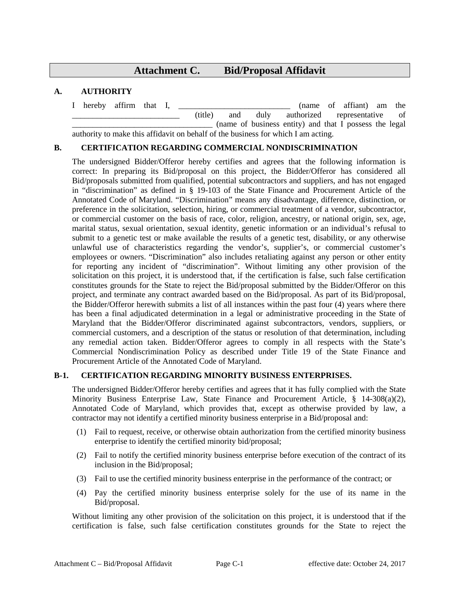# **Attachment C. Bid/Proposal Affidavit**

# **A. AUTHORITY**

I hereby affirm that I, \_\_\_\_\_\_\_\_\_\_\_\_\_\_\_\_\_\_\_\_\_\_\_\_\_\_\_ (name of affiant) am the \_\_\_\_\_\_\_\_\_\_\_\_\_\_\_\_\_\_\_\_\_\_\_\_\_\_ (title) and duly authorized representative of \_\_\_\_\_\_\_\_\_\_\_\_\_\_\_\_\_\_\_\_\_\_\_\_\_\_\_\_\_\_\_\_\_\_ (name of business entity) and that I possess the legal authority to make this affidavit on behalf of the business for which I am acting.

### **B. CERTIFICATION REGARDING COMMERCIAL NONDISCRIMINATION**

The undersigned Bidder/Offeror hereby certifies and agrees that the following information is correct: In preparing its Bid/proposal on this project, the Bidder/Offeror has considered all Bid/proposals submitted from qualified, potential subcontractors and suppliers, and has not engaged in "discrimination" as defined in § 19-103 of the State Finance and Procurement Article of the Annotated Code of Maryland. "Discrimination" means any disadvantage, difference, distinction, or preference in the solicitation, selection, hiring, or commercial treatment of a vendor, subcontractor, or commercial customer on the basis of race, color, religion, ancestry, or national origin, sex, age, marital status, sexual orientation, sexual identity, genetic information or an individual's refusal to submit to a genetic test or make available the results of a genetic test, disability, or any otherwise unlawful use of characteristics regarding the vendor's, supplier's, or commercial customer's employees or owners. "Discrimination" also includes retaliating against any person or other entity for reporting any incident of "discrimination". Without limiting any other provision of the solicitation on this project, it is understood that, if the certification is false, such false certification constitutes grounds for the State to reject the Bid/proposal submitted by the Bidder/Offeror on this project, and terminate any contract awarded based on the Bid/proposal. As part of its Bid/proposal, the Bidder/Offeror herewith submits a list of all instances within the past four (4) years where there has been a final adjudicated determination in a legal or administrative proceeding in the State of Maryland that the Bidder/Offeror discriminated against subcontractors, vendors, suppliers, or commercial customers, and a description of the status or resolution of that determination, including any remedial action taken. Bidder/Offeror agrees to comply in all respects with the State's Commercial Nondiscrimination Policy as described under Title 19 of the State Finance and Procurement Article of the Annotated Code of Maryland.

### **B-1. CERTIFICATION REGARDING MINORITY BUSINESS ENTERPRISES.**

The undersigned Bidder/Offeror hereby certifies and agrees that it has fully complied with the State Minority Business Enterprise Law, State Finance and Procurement Article, § 14-308(a)(2), Annotated Code of Maryland, which provides that, except as otherwise provided by law, a contractor may not identify a certified minority business enterprise in a Bid/proposal and:

- (1) Fail to request, receive, or otherwise obtain authorization from the certified minority business enterprise to identify the certified minority bid/proposal;
- (2) Fail to notify the certified minority business enterprise before execution of the contract of its inclusion in the Bid/proposal;
- (3) Fail to use the certified minority business enterprise in the performance of the contract; or
- (4) Pay the certified minority business enterprise solely for the use of its name in the Bid/proposal.

Without limiting any other provision of the solicitation on this project, it is understood that if the certification is false, such false certification constitutes grounds for the State to reject the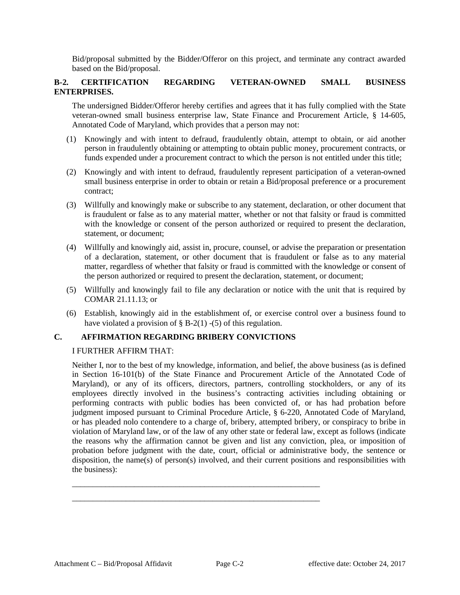Bid/proposal submitted by the Bidder/Offeror on this project, and terminate any contract awarded based on the Bid/proposal.

# **B-2. CERTIFICATION REGARDING VETERAN-OWNED SMALL BUSINESS ENTERPRISES.**

The undersigned Bidder/Offeror hereby certifies and agrees that it has fully complied with the State veteran-owned small business enterprise law, State Finance and Procurement Article, § 14-605, Annotated Code of Maryland, which provides that a person may not:

- (1) Knowingly and with intent to defraud, fraudulently obtain, attempt to obtain, or aid another person in fraudulently obtaining or attempting to obtain public money, procurement contracts, or funds expended under a procurement contract to which the person is not entitled under this title;
- (2) Knowingly and with intent to defraud, fraudulently represent participation of a veteran-owned small business enterprise in order to obtain or retain a Bid/proposal preference or a procurement contract;
- (3) Willfully and knowingly make or subscribe to any statement, declaration, or other document that is fraudulent or false as to any material matter, whether or not that falsity or fraud is committed with the knowledge or consent of the person authorized or required to present the declaration, statement, or document;
- (4) Willfully and knowingly aid, assist in, procure, counsel, or advise the preparation or presentation of a declaration, statement, or other document that is fraudulent or false as to any material matter, regardless of whether that falsity or fraud is committed with the knowledge or consent of the person authorized or required to present the declaration, statement, or document;
- (5) Willfully and knowingly fail to file any declaration or notice with the unit that is required by COMAR 21.11.13; or
- (6) Establish, knowingly aid in the establishment of, or exercise control over a business found to have violated a provision of  $\S$  B-2(1) -(5) of this regulation.

## **C. AFFIRMATION REGARDING BRIBERY CONVICTIONS**

\_\_\_\_\_\_\_\_\_\_\_\_\_\_\_\_\_\_\_\_\_\_\_\_\_\_\_\_\_\_\_\_\_\_\_\_\_\_\_\_\_\_\_\_\_\_\_\_\_\_\_\_\_\_\_\_\_\_\_\_ \_\_\_\_\_\_\_\_\_\_\_\_\_\_\_\_\_\_\_\_\_\_\_\_\_\_\_\_\_\_\_\_\_\_\_\_\_\_\_\_\_\_\_\_\_\_\_\_\_\_\_\_\_\_\_\_\_\_\_\_

### I FURTHER AFFIRM THAT:

Neither I, nor to the best of my knowledge, information, and belief, the above business (as is defined in Section 16-101(b) of the State Finance and Procurement Article of the Annotated Code of Maryland), or any of its officers, directors, partners, controlling stockholders, or any of its employees directly involved in the business's contracting activities including obtaining or performing contracts with public bodies has been convicted of, or has had probation before judgment imposed pursuant to Criminal Procedure Article, § 6-220, Annotated Code of Maryland, or has pleaded nolo contendere to a charge of, bribery, attempted bribery, or conspiracy to bribe in violation of Maryland law, or of the law of any other state or federal law, except as follows (indicate the reasons why the affirmation cannot be given and list any conviction, plea, or imposition of probation before judgment with the date, court, official or administrative body, the sentence or disposition, the name(s) of person(s) involved, and their current positions and responsibilities with the business):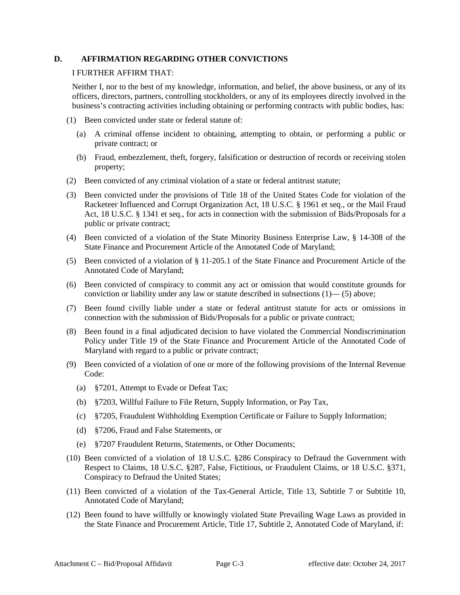#### **D. AFFIRMATION REGARDING OTHER CONVICTIONS**

#### I FURTHER AFFIRM THAT:

Neither I, nor to the best of my knowledge, information, and belief, the above business, or any of its officers, directors, partners, controlling stockholders, or any of its employees directly involved in the business's contracting activities including obtaining or performing contracts with public bodies, has:

- (1) Been convicted under state or federal statute of:
	- (a) A criminal offense incident to obtaining, attempting to obtain, or performing a public or private contract; or
	- (b) Fraud, embezzlement, theft, forgery, falsification or destruction of records or receiving stolen property;
- (2) Been convicted of any criminal violation of a state or federal antitrust statute;
- (3) Been convicted under the provisions of Title 18 of the United States Code for violation of the Racketeer Influenced and Corrupt Organization Act, 18 U.S.C. § 1961 et seq., or the Mail Fraud Act, 18 U.S.C. § 1341 et seq., for acts in connection with the submission of Bids/Proposals for a public or private contract;
- (4) Been convicted of a violation of the State Minority Business Enterprise Law, § 14-308 of the State Finance and Procurement Article of the Annotated Code of Maryland;
- (5) Been convicted of a violation of § 11-205.1 of the State Finance and Procurement Article of the Annotated Code of Maryland;
- (6) Been convicted of conspiracy to commit any act or omission that would constitute grounds for conviction or liability under any law or statute described in subsections (1)— (5) above;
- (7) Been found civilly liable under a state or federal antitrust statute for acts or omissions in connection with the submission of Bids/Proposals for a public or private contract;
- (8) Been found in a final adjudicated decision to have violated the Commercial Nondiscrimination Policy under Title 19 of the State Finance and Procurement Article of the Annotated Code of Maryland with regard to a public or private contract;
- (9) Been convicted of a violation of one or more of the following provisions of the Internal Revenue Code:
	- (a) §7201, Attempt to Evade or Defeat Tax;
	- (b) §7203, Willful Failure to File Return, Supply Information, or Pay Tax,
	- (c) §7205, Fraudulent Withholding Exemption Certificate or Failure to Supply Information;
	- (d) §7206, Fraud and False Statements, or
	- (e) §7207 Fraudulent Returns, Statements, or Other Documents;
- (10) Been convicted of a violation of 18 U.S.C. §286 Conspiracy to Defraud the Government with Respect to Claims, 18 U.S.C. §287, False, Fictitious, or Fraudulent Claims, or 18 U.S.C. §371, Conspiracy to Defraud the United States;
- (11) Been convicted of a violation of the Tax-General Article, Title 13, Subtitle 7 or Subtitle 10, Annotated Code of Maryland;
- (12) Been found to have willfully or knowingly violated State Prevailing Wage Laws as provided in the State Finance and Procurement Article, Title 17, Subtitle 2, Annotated Code of Maryland, if: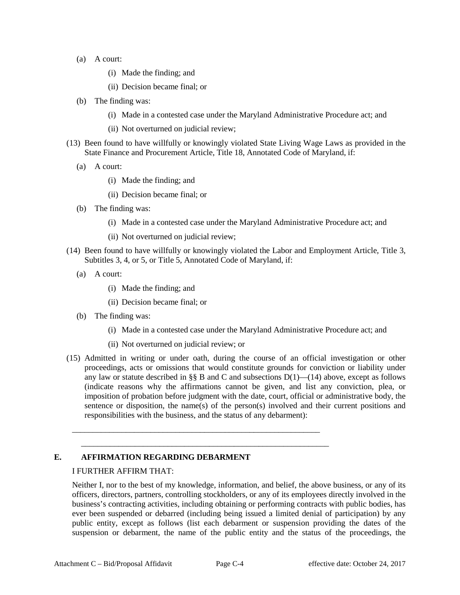- (a) A court:
	- (i) Made the finding; and
	- (ii) Decision became final; or
- (b) The finding was:
	- (i) Made in a contested case under the Maryland Administrative Procedure act; and
	- (ii) Not overturned on judicial review;
- (13) Been found to have willfully or knowingly violated State Living Wage Laws as provided in the State Finance and Procurement Article, Title 18, Annotated Code of Maryland, if:
	- (a) A court:
		- (i) Made the finding; and
		- (ii) Decision became final; or
	- (b) The finding was:
		- (i) Made in a contested case under the Maryland Administrative Procedure act; and
		- (ii) Not overturned on judicial review;
- (14) Been found to have willfully or knowingly violated the Labor and Employment Article, Title 3, Subtitles 3, 4, or 5, or Title 5, Annotated Code of Maryland, if:
	- (a) A court:
		- (i) Made the finding; and
		- (ii) Decision became final; or
	- (b) The finding was:
		- (i) Made in a contested case under the Maryland Administrative Procedure act; and
		- (ii) Not overturned on judicial review; or

\_\_\_\_\_\_\_\_\_\_\_\_\_\_\_\_\_\_\_\_\_\_\_\_\_\_\_\_\_\_\_\_\_\_\_\_\_\_\_\_\_\_\_\_\_\_\_\_\_\_\_\_\_\_\_\_\_\_\_\_

\_\_\_\_\_\_\_\_\_\_\_\_\_\_\_\_\_\_\_\_\_\_\_\_\_\_\_\_\_\_\_\_\_\_\_\_\_\_\_\_\_\_\_\_\_\_\_\_\_\_\_\_\_\_\_\_\_\_\_\_

(15) Admitted in writing or under oath, during the course of an official investigation or other proceedings, acts or omissions that would constitute grounds for conviction or liability under any law or statute described in §§ B and C and subsections  $D(1)$ —(14) above, except as follows (indicate reasons why the affirmations cannot be given, and list any conviction, plea, or imposition of probation before judgment with the date, court, official or administrative body, the sentence or disposition, the name(s) of the person(s) involved and their current positions and responsibilities with the business, and the status of any debarment):

### **E. AFFIRMATION REGARDING DEBARMENT**

### I FURTHER AFFIRM THAT:

Neither I, nor to the best of my knowledge, information, and belief, the above business, or any of its officers, directors, partners, controlling stockholders, or any of its employees directly involved in the business's contracting activities, including obtaining or performing contracts with public bodies, has ever been suspended or debarred (including being issued a limited denial of participation) by any public entity, except as follows (list each debarment or suspension providing the dates of the suspension or debarment, the name of the public entity and the status of the proceedings, the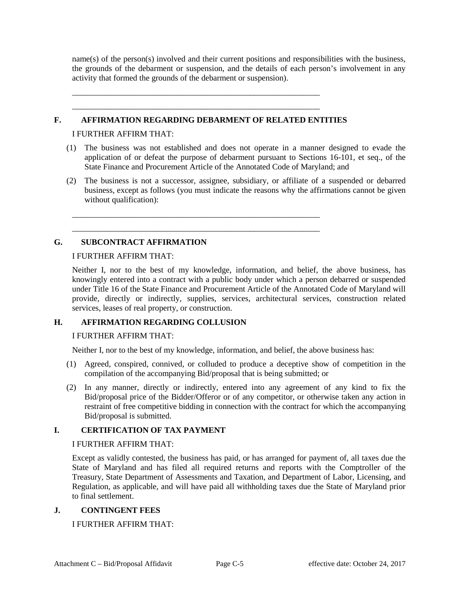name(s) of the person(s) involved and their current positions and responsibilities with the business, the grounds of the debarment or suspension, and the details of each person's involvement in any activity that formed the grounds of the debarment or suspension).

#### **F. AFFIRMATION REGARDING DEBARMENT OF RELATED ENTITIES**

\_\_\_\_\_\_\_\_\_\_\_\_\_\_\_\_\_\_\_\_\_\_\_\_\_\_\_\_\_\_\_\_\_\_\_\_\_\_\_\_\_\_\_\_\_\_\_\_\_\_\_\_\_\_\_\_\_\_\_\_ \_\_\_\_\_\_\_\_\_\_\_\_\_\_\_\_\_\_\_\_\_\_\_\_\_\_\_\_\_\_\_\_\_\_\_\_\_\_\_\_\_\_\_\_\_\_\_\_\_\_\_\_\_\_\_\_\_\_\_\_

\_\_\_\_\_\_\_\_\_\_\_\_\_\_\_\_\_\_\_\_\_\_\_\_\_\_\_\_\_\_\_\_\_\_\_\_\_\_\_\_\_\_\_\_\_\_\_\_\_\_\_\_\_\_\_\_\_\_\_\_ \_\_\_\_\_\_\_\_\_\_\_\_\_\_\_\_\_\_\_\_\_\_\_\_\_\_\_\_\_\_\_\_\_\_\_\_\_\_\_\_\_\_\_\_\_\_\_\_\_\_\_\_\_\_\_\_\_\_\_\_

I FURTHER AFFIRM THAT:

- (1) The business was not established and does not operate in a manner designed to evade the application of or defeat the purpose of debarment pursuant to Sections 16-101, et seq., of the State Finance and Procurement Article of the Annotated Code of Maryland; and
- (2) The business is not a successor, assignee, subsidiary, or affiliate of a suspended or debarred business, except as follows (you must indicate the reasons why the affirmations cannot be given without qualification):

# **G. SUBCONTRACT AFFIRMATION**

#### I FURTHER AFFIRM THAT:

Neither I, nor to the best of my knowledge, information, and belief, the above business, has knowingly entered into a contract with a public body under which a person debarred or suspended under Title 16 of the State Finance and Procurement Article of the Annotated Code of Maryland will provide, directly or indirectly, supplies, services, architectural services, construction related services, leases of real property, or construction.

### **H. AFFIRMATION REGARDING COLLUSION**

#### I FURTHER AFFIRM THAT:

Neither I, nor to the best of my knowledge, information, and belief, the above business has:

- (1) Agreed, conspired, connived, or colluded to produce a deceptive show of competition in the compilation of the accompanying Bid/proposal that is being submitted; or
- (2) In any manner, directly or indirectly, entered into any agreement of any kind to fix the Bid/proposal price of the Bidder/Offeror or of any competitor, or otherwise taken any action in restraint of free competitive bidding in connection with the contract for which the accompanying Bid/proposal is submitted.

### **I. CERTIFICATION OF TAX PAYMENT**

### I FURTHER AFFIRM THAT:

Except as validly contested, the business has paid, or has arranged for payment of, all taxes due the State of Maryland and has filed all required returns and reports with the Comptroller of the Treasury, State Department of Assessments and Taxation, and Department of Labor, Licensing, and Regulation, as applicable, and will have paid all withholding taxes due the State of Maryland prior to final settlement.

### **J. CONTINGENT FEES**

### I FURTHER AFFIRM THAT: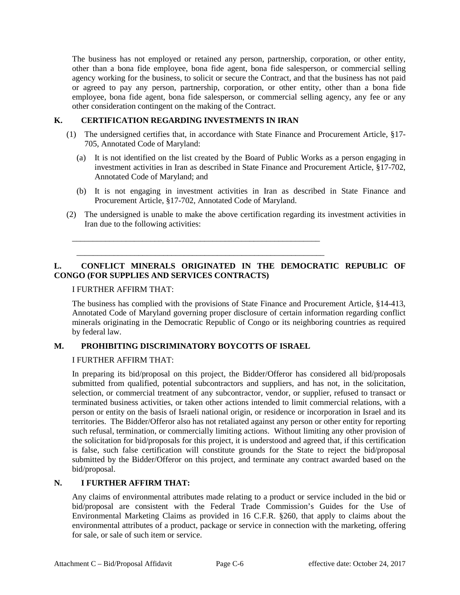The business has not employed or retained any person, partnership, corporation, or other entity, other than a bona fide employee, bona fide agent, bona fide salesperson, or commercial selling agency working for the business, to solicit or secure the Contract, and that the business has not paid or agreed to pay any person, partnership, corporation, or other entity, other than a bona fide employee, bona fide agent, bona fide salesperson, or commercial selling agency, any fee or any other consideration contingent on the making of the Contract.

### **K. CERTIFICATION REGARDING INVESTMENTS IN IRAN**

- (1) The undersigned certifies that, in accordance with State Finance and Procurement Article, §17- 705, Annotated Code of Maryland:
	- (a) It is not identified on the list created by the Board of Public Works as a person engaging in investment activities in Iran as described in State Finance and Procurement Article, §17-702, Annotated Code of Maryland; and
	- (b) It is not engaging in investment activities in Iran as described in State Finance and Procurement Article, §17-702, Annotated Code of Maryland.
- (2) The undersigned is unable to make the above certification regarding its investment activities in Iran due to the following activities:

# **L. CONFLICT MINERALS ORIGINATED IN THE DEMOCRATIC REPUBLIC OF CONGO (FOR SUPPLIES AND SERVICES CONTRACTS)**

# I FURTHER AFFIRM THAT:

The business has complied with the provisions of State Finance and Procurement Article, §14-413, Annotated Code of Maryland governing proper disclosure of certain information regarding conflict minerals originating in the Democratic Republic of Congo or its neighboring countries as required by federal law.

# **M. PROHIBITING DISCRIMINATORY BOYCOTTS OF ISRAEL**

\_\_\_\_\_\_\_\_\_\_\_\_\_\_\_\_\_\_\_\_\_\_\_\_\_\_\_\_\_\_\_\_\_\_\_\_\_\_\_\_\_\_\_\_\_\_\_\_\_\_\_\_\_\_\_\_\_\_\_\_ \_\_\_\_\_\_\_\_\_\_\_\_\_\_\_\_\_\_\_\_\_\_\_\_\_\_\_\_\_\_\_\_\_\_\_\_\_\_\_\_\_\_\_\_\_\_\_\_\_\_\_\_\_\_\_\_\_\_\_\_

# I FURTHER AFFIRM THAT:

In preparing its bid/proposal on this project, the Bidder/Offeror has considered all bid/proposals submitted from qualified, potential subcontractors and suppliers, and has not, in the solicitation, selection, or commercial treatment of any subcontractor, vendor, or supplier, refused to transact or terminated business activities, or taken other actions intended to limit commercial relations, with a person or entity on the basis of Israeli national origin, or residence or incorporation in Israel and its territories. The Bidder/Offeror also has not retaliated against any person or other entity for reporting such refusal, termination, or commercially limiting actions. Without limiting any other provision of the solicitation for bid/proposals for this project, it is understood and agreed that, if this certification is false, such false certification will constitute grounds for the State to reject the bid/proposal submitted by the Bidder/Offeror on this project, and terminate any contract awarded based on the bid/proposal.

# **N. I FURTHER AFFIRM THAT:**

Any claims of environmental attributes made relating to a product or service included in the bid or bid/proposal are consistent with the Federal Trade Commission's Guides for the Use of Environmental Marketing Claims as provided in 16 C.F.R. §260, that apply to claims about the environmental attributes of a product, package or service in connection with the marketing, offering for sale, or sale of such item or service.